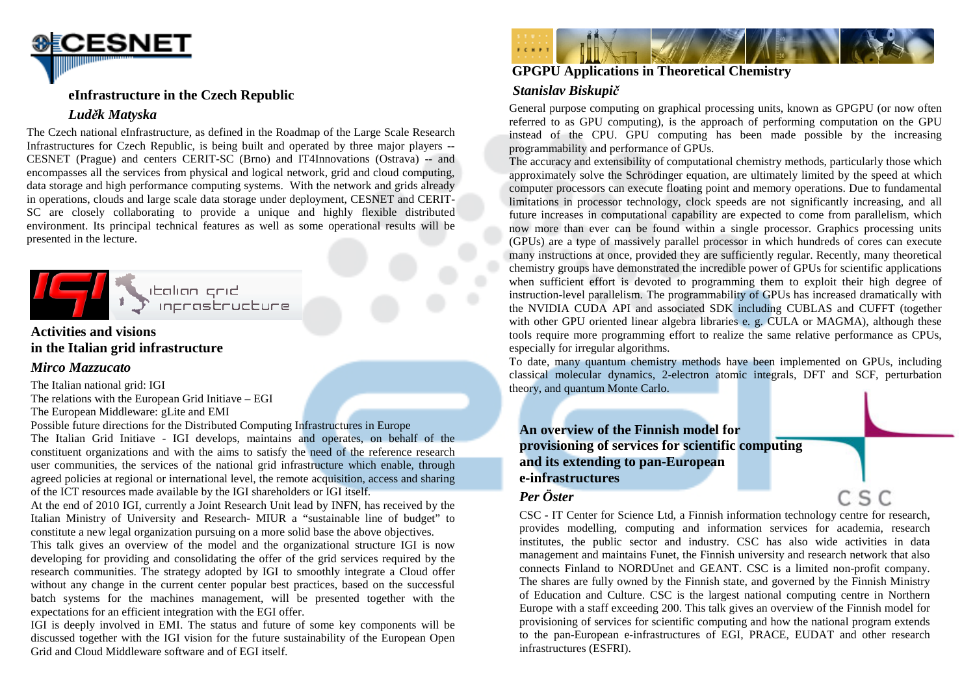

#### **eInfrastructure in the Czech Republic**

## *Luděk Matyska*

 The Czech national eInfrastructure, as defined in the Roadmap of the Large Scale Research Infrastructures for Czech Republic, is being built and operated by three major players -- CESNET (Prague) and centers CERIT-SC (Brno) and IT4Innovations (Ostrava) -- and encompasses all the services from physical and logical network, grid and cloud computing, data storage and high performance computing systems. With the network and grids already in operations, clouds and large scale data storage under deployment, CESNET and CERIT-SC are closely collaborating to provide a unique and highly flexible distributed environment. Its principal technical features as well as some operational results will be presented in the lecture.



## **Activities and visions in the Italian grid infrastructure**

### *Mirco Mazzucato*

The Italian national grid: IGI

 The relations with the European Grid Initiave – EGI The European Middleware: gLite and EMI

 Possible future directions for the Distributed Computing Infrastructures in Europe The Italian Grid Initiave - IGI develops, maintains and operates, on behalf of the constituent organizations and with the aims to satisfy the need of the reference research user communities, the services of the national grid infrastructure which enable, through agreed policies at regional or international level, the remote acquisition, access and sharing of the ICT resources made available by the IGI shareholders or IGI itself.

At the end of 2010 IGI, currently a Joint Research Unit lead by INFN, has received by the Italian Ministry of University and Research- MIUR a "sustainable line of budget" to constitute a new legal organization pursuing on a more solid base the above objectives.

This talk gives an overview of the model and the organizational structure IGI is now developing for providing and consolidating the offer of the grid services required by the research communities. The strategy adopted by IGI to smoothly integrate a Cloud offer without any change in the current center popular best practices, based on the successful batch systems for the machines management, will be presented together with the expectations for an efficient integration with the EGI offer.

IGI is deeply involved in EMI. The status and future of some key components will be discussed together with the IGI vision for the future sustainability of the European Open Grid and Cloud Middleware software and of EGI itself.



# **GPGPU Applications in Theoretical Chemistry**

# *Stanislav Biskupič*

 General purpose computing on graphical processing units, known as GPGPU (or now often referred to as GPU computing), is the approach of performing computation on the GPU instead of the CPU. GPU computing has been made possible by the increasing programmability and performance of GPUs.

 The accuracy and extensibility of computational chemistry methods, particularly those which approximately solve the Schrödinger equation, are ultimately limited by the speed at which computer processors can execute floating point and memory operations. Due to fundamental limitations in processor technology, clock speeds are not significantly increasing, and all future increases in computational capability are expected to come from parallelism, which now more than ever can be found within a single processor. Graphics processing units (GPUs) are a type of massively parallel processor in which hundreds of cores can execute many instructions at once, provided they are sufficiently regular. Recently, many theoretical chemistry groups have demonstrated the incredible power of GPUs for scientific applications when sufficient effort is devoted to programming them to exploit their high degree of instruction-level parallelism. The programmability of GPUs has increased dramatically with the NVIDIA CUDA API and associated SDK including CUBLAS and CUFFT (together with other GPU oriented linear algebra libraries e. g. CULA or MAGMA), although these tools require more programming effort to realize the same relative performance as CPUs, especially for irregular algorithms.

 To date, many quantum chemistry methods have been implemented on GPUs, including classical molecular dynamics, 2-electron atomic integrals, DFT and SCF, perturbation theory, and quantum Monte Carlo.

**An overview of the Finnish model for provisioning of services for scientific computing and its extending to pan-European e-infrastructures** 

# *Per Öster*

CSC - IT Center for Science Ltd, a Finnish information technology centre for research, provides modelling, computing and information services for academia, research institutes, the public sector and industry. CSC has also wide activities in data management and maintains Funet, the Finnish university and research network that also connects Finland to NORDUnet and GEANT. CSC is a limited non-profit company. The shares are fully owned by the Finnish state, and governed by the Finnish Ministry of Education and Culture. CSC is the largest national computing centre in Northern Europe with a staff exceeding 200. This talk gives an overview of the Finnish model for provisioning of services for scientific computing and how the national program extends to the pan-European e-infrastructures of EGI, PRACE, EUDAT and other research infrastructures (ESFRI).